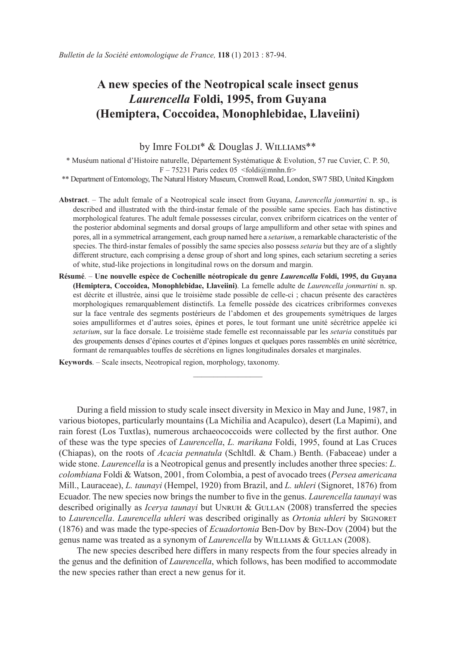# **A new species of the Neotropical scale insect genus**  *Laurencella* **Foldi, 1995, from Guyana (Hemiptera, Coccoidea, Monophlebidae, Llaveiini)**

## by Imre FOLDI<sup>\*</sup> & Douglas J. WILLIAMS<sup>\*\*</sup>

\* Muséum national d'Histoire naturelle, Département Systématique & Evolution, 57 rue Cuvier, C. P. 50,  $F - 75231$  Paris cedex 05  $\leq f \cdot \frac{G}{\ln \ln \ln}$  fr>

\*\* Department of Entomology, The Natural History Museum, Cromwell Road, London, SW7 5BD, United Kingdom

- **Abstract**. The adult female of a Neotropical scale insect from Guyana, *Laurencella jonmartini* n. sp., is described and illustrated with the third-instar female of the possible same species. Each has distinctive morphological features. The adult female possesses circular, convex cribriform cicatrices on the venter of the posterior abdominal segments and dorsal groups of large ampulliform and other setae with spines and pores, all in a symmetrical arrangement, each group named here a *setarium*, a remarkable characteristic of the species. The third-instar females of possibly the same species also possess *setaria* but they are of a slightly different structure, each comprising a dense group of short and long spines, each setarium secreting a series of white, stud-like projections in longitudinal rows on the dorsum and margin.
- **Résumé**. **Une nouvelle espèce de Cochenille néotropicale du genre** *Laurencella* **Foldi, 1995, du Guyana (Hemiptera, Coccoidea, Monophlebidae, Llaveiini)**. La femelle adulte de *Laurencella jonmartini* n. sp. est décrite et illustrée, ainsi que le troisième stade possible de celle-ci ; chacun présente des caractères morphologiques remarquablement distinctifs. La femelle possède des cicatrices cribriformes convexes sur la face ventrale des segments postérieurs de l'abdomen et des groupements symétriques de larges soies ampulliformes et d'autres soies, épines et pores, le tout formant une unité sécrétrice appelée ici *setarium*, sur la face dorsale. Le troisième stade femelle est reconnaissable par les *setaria* constitués par des groupements denses d'épines courtes et d'épines longues et quelques pores rassemblés en unité sécrétrice, formant de remarquables touffes de sécrétions en lignes longitudinales dorsales et marginales.

 $\overline{\phantom{a}}$  , where  $\overline{\phantom{a}}$ 

**Keywords**. – Scale insects, Neotropical region, morphology, taxonomy.

During a field mission to study scale insect diversity in Mexico in May and June, 1987, in various biotopes, particularly mountains (La Michilia and Acapulco), desert (La Mapimi), and rain forest (Los Tuxtlas), numerous archaeococcoids were collected by the first author. One of these was the type species of *Laurencella*, *L. marikana* Foldi, 1995, found at Las Cruces (Chiapas), on the roots of *Acacia pennatula* (Schltdl. & Cham.) Benth. (Fabaceae) under a wide stone. *Laurencella* is a Neotropical genus and presently includes another three species: *L. colombiana* Foldi & Watson, 2001, from Colombia, a pest of avocado trees (*Persea americana*  Mill., Lauraceae), *L. taunayi* (Hempel, 1920) from Brazil, and *L. uhleri* (Signoret, 1876) from Ecuador. The new species now brings the number to five in the genus. *Laurencella taunayi* was described originally as *Icerya taunayi* but Unruh & Gullan (2008) transferred the species to *Laurencella*. *Laurencella uhleri* was described originally as *Ortonia uhleri* by Signoret (1876) and was made the type-species of *Ecuadortonia* Ben-Dov by Ben-Dov (2004) but the genus name was treated as a synonym of *Laurencella* by Williams & Gullan (2008).

The new species described here differs in many respects from the four species already in the genus and the definition of *Laurencella*, which follows, has been modified to accommodate the new species rather than erect a new genus for it.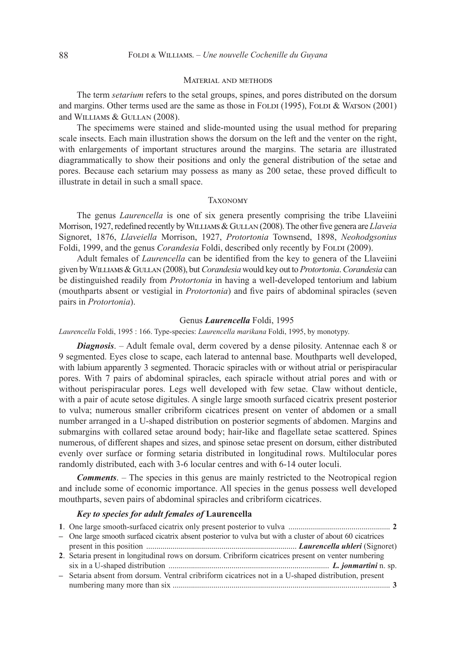### Material and methods

The term *setarium* refers to the setal groups, spines, and pores distributed on the dorsum and margins. Other terms used are the same as those in FOLDI  $(1995)$ , FOLDI & WATSON  $(2001)$ and Williams & Gullan (2008).

The specimems were stained and slide-mounted using the usual method for preparing scale insects. Each main illustration shows the dorsum on the left and the venter on the right, with enlargements of important structures around the margins. The setaria are illustrated diagrammatically to show their positions and only the general distribution of the setae and pores. Because each setarium may possess as many as 200 setae, these proved difficult to illustrate in detail in such a small space.

#### **TAXONOMY**

The genus *Laurencella* is one of six genera presently comprising the tribe Llaveiini Morrison, 1927, redefined recently by Williams & Gullan (2008). The other five genera are *Llaveia* Signoret, 1876, *Llaveiella* Morrison, 1927, *Protortonia* Townsend, 1898, *Neohodgsonius* Foldi, 1999, and the genus *Corandesia* Foldi, described only recently by Foldi (2009).

Adult females of *Laurencella* can be identified from the key to genera of the Llaveiini given by Williams & Gullan (2008), but *Corandesia* would key out to *Protortonia*. *Corandesia* can be distinguished readily from *Protortonia* in having a well-developed tentorium and labium (mouthparts absent or vestigial in *Protortonia*) and five pairs of abdominal spiracles (seven pairs in *Protortonia*).

## Genus *Laurencella* Foldi, 1995

*Laurencella* Foldi, 1995 : 166. Type-species: *Laurencella marikana* Foldi, 1995, by monotypy.

*Diagnosis*. – Adult female oval, derm covered by a dense pilosity. Antennae each 8 or 9 segmented. Eyes close to scape, each laterad to antennal base. Mouthparts well developed, with labium apparently 3 segmented. Thoracic spiracles with or without atrial or perispiracular pores. With 7 pairs of abdominal spiracles, each spiracle without atrial pores and with or without perispiracular pores. Legs well developed with few setae. Claw without denticle, with a pair of acute setose digitules. A single large smooth surfaced cicatrix present posterior to vulva; numerous smaller cribriform cicatrices present on venter of abdomen or a small number arranged in a U-shaped distribution on posterior segments of abdomen. Margins and submargins with collared setae around body; hair-like and flagellate setae scattered. Spines numerous, of different shapes and sizes, and spinose setae present on dorsum, either distributed evenly over surface or forming setaria distributed in longitudinal rows. Multilocular pores randomly distributed, each with 3-6 locular centres and with 6-14 outer loculi.

*Comments.* – The species in this genus are mainly restricted to the Neotropical region and include some of economic importance. All species in the genus possess well developed mouthparts, seven pairs of abdominal spiracles and cribriform cicatrices.

## *Key to species for adult females of* **Laurencella**

| - One large smooth surfaced cicatrix absent posterior to vulva but with a cluster of about 60 cicatrices |  |
|----------------------------------------------------------------------------------------------------------|--|
|                                                                                                          |  |
| 2. Setaria present in longitudinal rows on dorsum. Cribriform cicatrices present on venter numbering     |  |
|                                                                                                          |  |
| - Setaria absent from dorsum. Ventral cribriform cicatrices not in a U-shaped distribution, present      |  |
|                                                                                                          |  |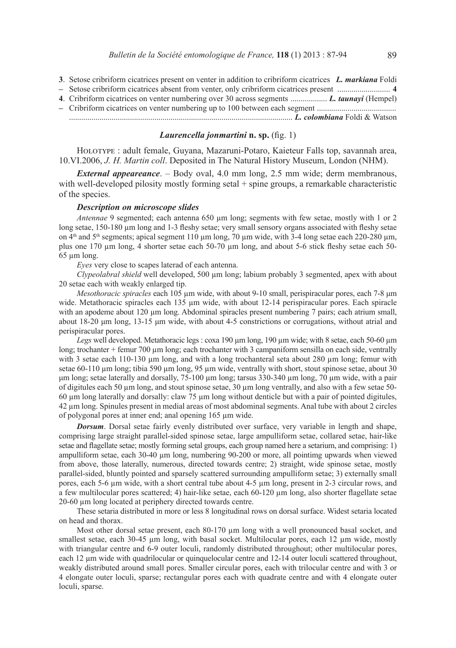- **3**. Setose cribriform cicatrices present on venter in addition to cribriform cicatrices *L. markiana* Foldi
- **–** Setose cribriform cicatrices absent from venter, only cribriform cicatrices present .......................... **4**
- **4**. Cribriform cicatrices on venter numbering over 30 across segments .................. *L. taunayi* (Hempel)
- **–** Cribriform cicatrices on venter numbering up to 100 between each segment ....................................... .............................................................................................................. *L. colombiana* Foldi & Watson

## *Laurencella jonmartini* **n. sp.** (fig. 1)

Holotype : adult female, Guyana, Mazaruni-Potaro, Kaieteur Falls top, savannah area, 10.VI.2006, *J. H. Martin coll*. Deposited in The Natural History Museum, London (NHM).

*External appeareance*. – Body oval, 4.0 mm long, 2.5 mm wide; derm membranous, with well-developed pilosity mostly forming setal + spine groups, a remarkable characteristic of the species.

## *Description on microscope slides*

*Antennae* 9 segmented; each antenna 650 um long; segments with few setae, mostly with 1 or 2 long setae, 150-180  $\mu$ m long and 1-3 fleshy setae; very small sensory organs associated with fleshy setae on  $\frac{4}{10}$  and  $5$ <sup>th</sup> segments; apical segment 110  $\mu$ m long, 70  $\mu$ m wide, with 3-4 long setae each 220-280  $\mu$ m, plus one 170 µm long, 4 shorter setae each 50-70 µm long, and about 5-6 stick fleshy setae each 50- 65 µm long.

*Eyes* very close to scapes laterad of each antenna.

*Clypeolabral shield* well developed, 500 µm long; labium probably 3 segmented, apex with about 20 setae each with weakly enlarged tip.

*Mesothoracic spiracles* each 105 µm wide, with about 9-10 small, perispiracular pores, each 7-8 µm wide. Metathoracic spiracles each 135 µm wide, with about 12-14 perispiracular pores. Each spiracle with an apodeme about 120 µm long. Abdominal spiracles present numbering 7 pairs; each atrium small, about 18-20 μm long, 13-15 μm wide, with about 4-5 constrictions or corrugations, without atrial and perispiracular pores.

*Legs* well developed. Metathoracic legs : coxa 190 µm long, 190 µm wide; with 8 setae, each 50-60 µm long; trochanter + femur 700 µm long; each trochanter with 3 campaniform sensilla on each side, ventrally with 3 setae each 110-130  $\mu$ m long, and with a long trochanteral seta about 280  $\mu$ m long; femur with setae 60-110 µm long; tibia 590 µm long, 95 µm wide, ventrally with short, stout spinose setae, about 30 μm long; setae laterally and dorsally, 75-100 µm long; tarsus 330-340 µm long, 70 µm wide, with a pair of digitules each 50 µm long, and stout spinose setae, 30 µm long ventrally, and also with a few setae 50- 60  $\mu$ m long laterally and dorsally: claw 75  $\mu$ m long without denticle but with a pair of pointed digitules, 42 µm long. Spinules present in medial areas of most abdominal segments. Anal tube with about 2 circles of polygonal pores at inner end; anal opening 165 µm wide.

*Dorsum*. Dorsal setae fairly evenly distributed over surface, very variable in length and shape, comprising large straight parallel-sided spinose setae, large ampulliform setae, collared setae, hair-like setae and flagellate setae; mostly forming setal groups, each group named here a setarium, and comprising: 1) ampulliform setae, each 30-40 µm long, numbering 90-200 or more, all pointimg upwards when viewed from above, those laterally, numerous, directed towards centre; 2) straight, wide spinose setae, mostly parallel-sided, bluntly pointed and sparsely scattered surrounding ampulliform setae; 3) externally small pores, each 5-6 µm wide, with a short central tube about 4-5 µm long, present in 2-3 circular rows, and a few multilocular pores scattered; 4) hair-like setae, each 60-120 µm long, also shorter flagellate setae 20-60 µm long located at periphery directed towards centre.

These setaria distributed in more or less 8 longitudinal rows on dorsal surface. Widest setaria located on head and thorax.

Most other dorsal setae present, each 80-170  $\mu$ m long with a well pronounced basal socket, and smallest setae, each 30-45 µm long, with basal socket. Multilocular pores, each 12 µm wide, mostly with triangular centre and 6-9 outer loculi, randomly distributed throughout; other multilocular pores, each 12  $\mu$ m wide with quadrilocular or quinquelocular centre and 12-14 outer loculi scattered throughout, weakly distributed around small pores. Smaller circular pores, each with trilocular centre and with 3 or 4 elongate outer loculi, sparse; rectangular pores each with quadrate centre and with 4 elongate outer loculi, sparse.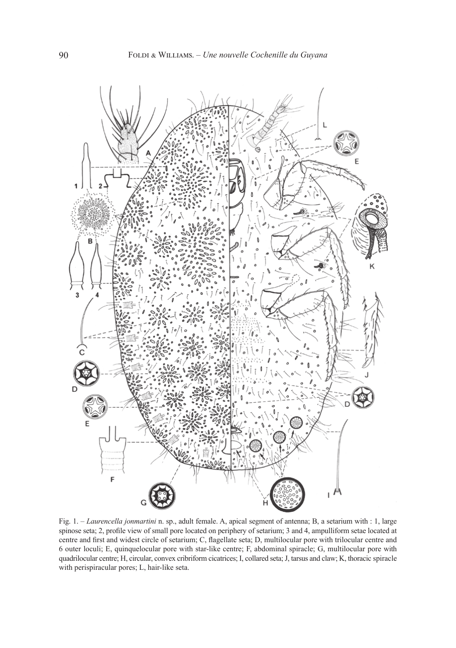

Fig. 1. – *Laurencella jonmartini* n. sp., adult female. A, apical segment of antenna; B, a setarium with : 1, large spinose seta; 2, profile view of small pore located on periphery of setarium; 3 and 4, ampulliform setae located at centre and first and widest circle of setarium; C, flagellate seta; D, multilocular pore with trilocular centre and 6 outer loculi; E, quinquelocular pore with star-like centre; F, abdominal spiracle; G, multilocular pore with quadrilocular centre; H, circular, convex cribriform cicatrices; I, collared seta; J, tarsus and claw; K, thoracic spiracle with perispiracular pores; L, hair-like seta.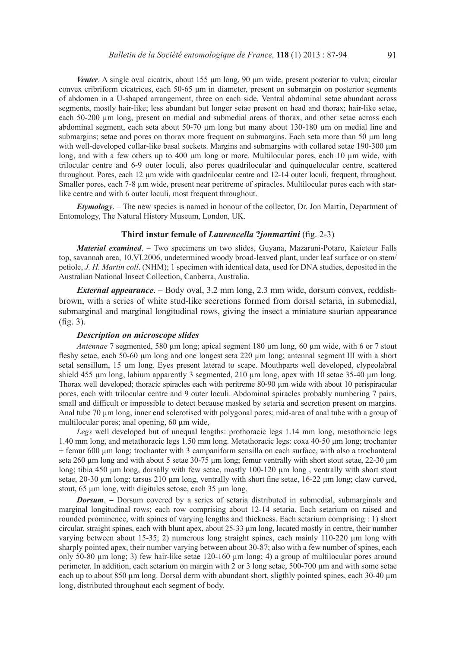*Venter*. A single oval cicatrix, about 155 μm long, 90 μm wide, present posterior to vulva; circular convex cribriform cicatrices, each 50-65 μm in diameter, present on submargin on posterior segments of abdomen in a U-shaped arrangement, three on each side. Ventral abdominal setae abundant across segments, mostly hair-like; less abundant but longer setae present on head and thorax; hair-like setae, each 50-200 µm long, present on medial and submedial areas of thorax, and other setae across each abdominal segment, each seta about 50-70 µm long but many about 130-180 µm on medial line and submargins; setae and pores on thorax more frequent on submargins. Each seta more than 50  $\mu$ m long with well-developed collar-like basal sockets. Margins and submargins with collared setae 190-300 µm long, and with a few others up to 400 µm long or more. Multilocular pores, each 10 µm wide, with trilocular centre and 6-9 outer loculi, also pores quadrilocular and quinquelocular centre, scattered throughout. Pores, each 12 µm wide with quadrilocular centre and 12-14 outer loculi, frequent, throughout. Smaller pores, each 7-8  $\mu$ m wide, present near peritreme of spiracles. Multilocular pores each with starlike centre and with 6 outer loculi, most frequent throughout.

*Etymology*. – The new species is named in honour of the collector, Dr. Jon Martin, Department of Entomology, The Natural History Museum, London, UK.

#### **Third instar female of** *Laurencella* **?***jonmartini* (fig. 2-3)

*Material examined*. – Two specimens on two slides, Guyana, Mazaruni-Potaro, Kaieteur Falls top, savannah area, 10.VI.2006, undetermined woody broad-leaved plant, under leaf surface or on stem/ petiole, *J. H. Martin coll*. (NHM); 1 specimen with identical data, used for DNA studies, deposited in the Australian National Insect Collection, Canberra, Australia.

*External appearance*. – Body oval, 3.2 mm long, 2.3 mm wide, dorsum convex, reddishbrown, with a series of white stud-like secretions formed from dorsal setaria, in submedial, submarginal and marginal longitudinal rows, giving the insect a miniature saurian appearance (fig. 3).

## *Description on microscope slides*

*Antennae* 7 segmented, 580 µm long; apical segment 180 µm long, 60 µm wide, with 6 or 7 stout fleshy setae, each 50-60 µm long and one longest seta 220 µm long; antennal segment III with a short setal sensillum, 15 µm long. Eyes present laterad to scape. Mouthparts well developed, clypeolabral shield 455 µm long, labium apparently 3 segmented, 210 µm long, apex with 10 setae 35-40 µm long. Thorax well developed; thoracic spiracles each with peritreme 80-90 µm wide with about 10 perispiracular pores, each with trilocular centre and 9 outer loculi. Abdominal spiracles probably numbering 7 pairs, small and difficult or impossible to detect because masked by setaria and secretion present on margins. Anal tube 70 µm long, inner end sclerotised with polygonal pores; mid-area of anal tube with a group of multilocular pores; anal opening, 60  $\mu$ m wide,

*Legs* well developed but of unequal lengths: prothoracic legs 1.14 mm long, mesothoracic legs 1.40 mm long, and metathoracic legs 1.50 mm long. Metathoracic legs: coxa 40-50 µm long; trochanter + femur 600 µm long; trochanter with 3 campaniform sensilla on each surface, with also a trochanteral seta 260 µm long and with about 5 setae 30-75 µm long; femur ventrally with short stout setae, 22-30 µm long; tibia 450 µm long, dorsally with few setae, mostly 100-120 µm long, ventrally with short stout setae, 20-30 µm long; tarsus 210 µm long, ventrally with short fine setae, 16-22 µm long; claw curved, stout, 65  $\mu$ m long, with digitules setose, each 35  $\mu$ m long.

*Dorsum*. – Dorsum covered by a series of setaria distributed in submedial, submarginals and marginal longitudinal rows; each row comprising about 12-14 setaria. Each setarium on raised and rounded prominence, with spines of varying lengths and thickness. Each setarium comprising : 1) short circular, straight spines, each with blunt apex, about 25-33 µm long, located mostly in centre, their number varying between about 15-35; 2) numerous long straight spines, each mainly 110-220  $\mu$ m long with sharply pointed apex, their number varying between about 30-87; also with a few number of spines, each only 50-80 µm long; 3) few hair-like setae 120-160 µm long; 4) a group of multilocular pores around perimeter. In addition, each setarium on margin with 2 or 3 long setae, 500-700  $\mu$ m and with some setae each up to about 850 µm long. Dorsal derm with abundant short, sligthly pointed spines, each 30-40 µm long, distributed throughout each segment of body.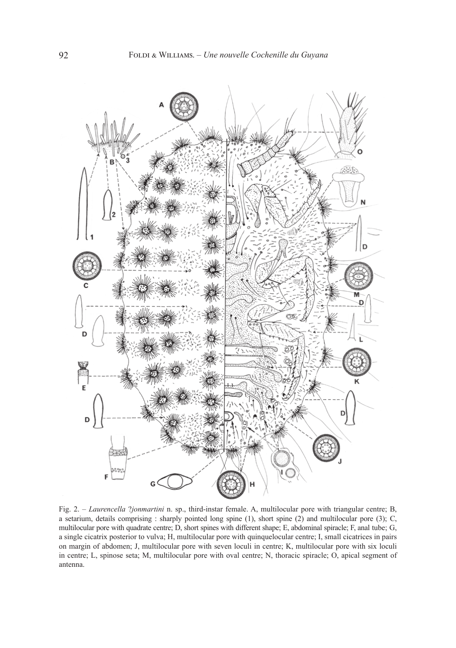

Fig. 2. – *Laurencella* ?*jonmartini* n. sp., third-instar female. A, multilocular pore with triangular centre; B, a setarium, details comprising : sharply pointed long spine (1), short spine (2) and multilocular pore (3); C, multilocular pore with quadrate centre; D, short spines with different shape; E, abdominal spiracle; F, anal tube; G, a single cicatrix posterior to vulva; H, multilocular pore with quinquelocular centre; I, small cicatrices in pairs on margin of abdomen; J, multilocular pore with seven loculi in centre; K, multilocular pore with six loculi in centre; L, spinose seta; M, multilocular pore with oval centre; N, thoracic spiracle; O, apical segment of antenna.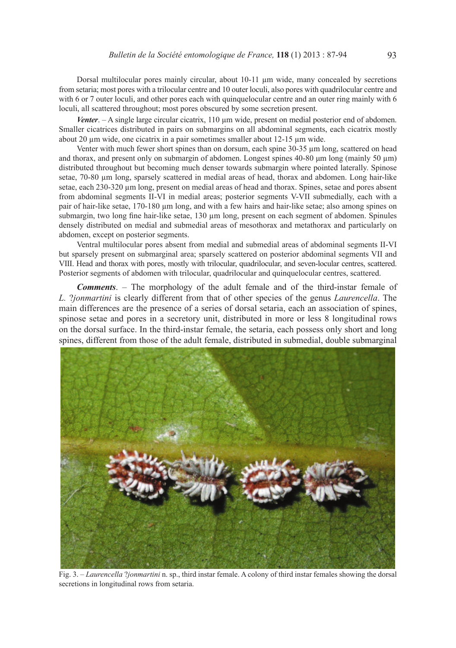Dorsal multilocular pores mainly circular, about 10-11 µm wide, many concealed by secretions from setaria; most pores with a trilocular centre and 10 outer loculi, also pores with quadrilocular centre and with 6 or 7 outer loculi, and other pores each with quinquelocular centre and an outer ring mainly with 6 loculi, all scattered throughout; most pores obscured by some secretion present.

*Venter.* – A single large circular cicatrix, 110 µm wide, present on medial posterior end of abdomen. Smaller cicatrices distributed in pairs on submargins on all abdominal segments, each cicatrix mostly about 20 µm wide, one cicatrix in a pair sometimes smaller about 12-15 µm wide.

Venter with much fewer short spines than on dorsum, each spine 30-35 um long, scattered on head and thorax, and present only on submargin of abdomen. Longest spines 40-80 μm long (mainly 50 µm) distributed throughout but becoming much denser towards submargin where pointed laterally. Spinose setae, 70-80 µm long, sparsely scattered in medial areas of head, thorax and abdomen. Long hair-like setae, each 230-320 µm long, present on medial areas of head and thorax. Spines, setae and pores absent from abdominal segments II-VI in medial areas; posterior segments V-VII submedially, each with a pair of hair-like setae, 170-180 µm long, and with a few hairs and hair-like setae; also among spines on submargin, two long fine hair-like setae, 130 µm long, present on each segment of abdomen. Spinules densely distributed on medial and submedial areas of mesothorax and metathorax and particularly on abdomen, except on posterior segments.

Ventral multilocular pores absent from medial and submedial areas of abdominal segments II-VI but sparsely present on submarginal area; sparsely scattered on posterior abdominal segments VII and VIII. Head and thorax with pores, mostly with trilocular, quadrilocular, and seven-locular centres, scattered. Posterior segments of abdomen with trilocular, quadrilocular and quinquelocular centres, scattered.

*Comments*. – The morphology of the adult female and of the third-instar female of *L.* ?*jonmartini* is clearly different from that of other species of the genus *Laurencella*. The main differences are the presence of a series of dorsal setaria, each an association of spines, spinose setae and pores in a secretory unit, distributed in more or less 8 longitudinal rows on the dorsal surface. In the third-instar female, the setaria, each possess only short and long spines, different from those of the adult female, distributed in submedial, double submarginal



Fig. 3. – *Laurencella* ?*jonmartini* n. sp., third instar female. A colony of third instar females showing the dorsal secretions in longitudinal rows from setaria.